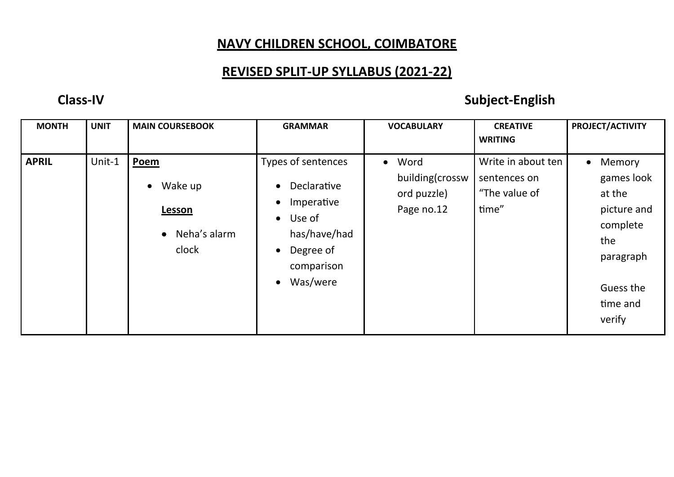## **NAVY CHILDREN SCHOOL, COIMBATORE**

## **REVISED SPLIT-UP SYLLABUS (2021-22)**

## **Class-IV Subject-English**

| <b>MONTH</b> | <b>UNIT</b> | <b>MAIN COURSEBOOK</b>                                                           | <b>GRAMMAR</b>                                                                                                                                          | <b>VOCABULARY</b>                                      | <b>CREATIVE</b><br><b>WRITING</b>                            | PROJECT/ACTIVITY                                                                                                              |
|--------------|-------------|----------------------------------------------------------------------------------|---------------------------------------------------------------------------------------------------------------------------------------------------------|--------------------------------------------------------|--------------------------------------------------------------|-------------------------------------------------------------------------------------------------------------------------------|
| <b>APRIL</b> | Unit-1      | Poem<br>Wake up<br>$\bullet$<br><b>Lesson</b><br>$\bullet$ Neha's alarm<br>clock | Types of sentences<br>Declarative<br>Imperative<br>Use of<br>$\bullet$<br>has/have/had<br>Degree of<br>$\bullet$<br>comparison<br>Was/were<br>$\bullet$ | • Word<br>building(crossw<br>ord puzzle)<br>Page no.12 | Write in about ten<br>sentences on<br>"The value of<br>time" | Memory<br>$\bullet$<br>games look<br>at the<br>picture and<br>complete<br>the<br>paragraph<br>Guess the<br>time and<br>verify |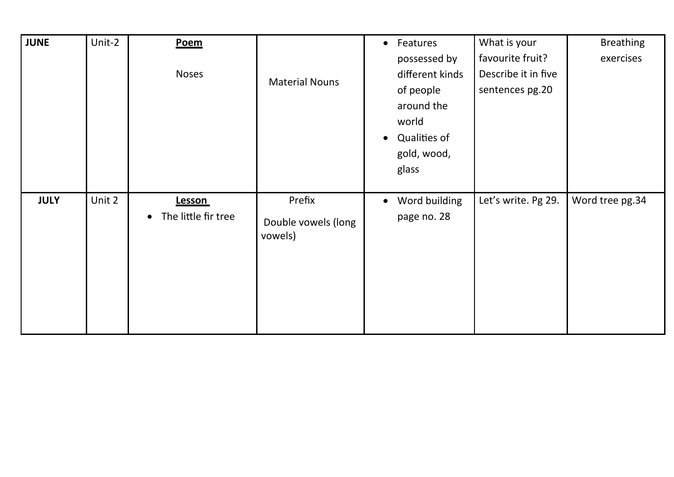| JUNE        | Unit-2 | Poem<br><b>Noses</b>                              | <b>Material Nouns</b>                    | Features<br>$\bullet$<br>possessed by<br>different kinds<br>of people<br>around the<br>world<br>Qualities of<br>$\bullet$<br>gold, wood,<br>glass | What is your<br>favourite fruit?<br>Describe it in five<br>sentences pg.20 | <b>Breathing</b><br>exercises |
|-------------|--------|---------------------------------------------------|------------------------------------------|---------------------------------------------------------------------------------------------------------------------------------------------------|----------------------------------------------------------------------------|-------------------------------|
| <b>JULY</b> | Unit 2 | <b>Lesson</b><br>The little fir tree<br>$\bullet$ | Prefix<br>Double vowels (long<br>vowels) | Word building<br>$\bullet$<br>page no. 28                                                                                                         | Let's write. Pg 29.                                                        | Word tree pg.34               |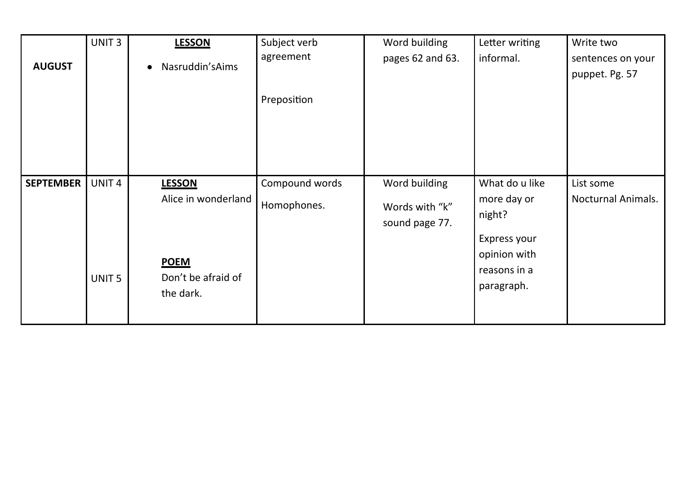|                  | UNIT <sub>3</sub> | <b>LESSON</b>                                  | Subject verb<br>agreement | Word building                    | Letter writing<br>informal.                                | Write two                           |
|------------------|-------------------|------------------------------------------------|---------------------------|----------------------------------|------------------------------------------------------------|-------------------------------------|
| <b>AUGUST</b>    |                   | Nasruddin's Aims<br>$\bullet$                  |                           | pages 62 and 63.                 |                                                            | sentences on your<br>puppet. Pg. 57 |
|                  |                   |                                                | Preposition               |                                  |                                                            |                                     |
| <b>SEPTEMBER</b> | UNIT <sub>4</sub> | <b>LESSON</b>                                  | Compound words            | Word building                    | What do u like                                             | List some                           |
|                  |                   | Alice in wonderland                            | Homophones.               | Words with "k"<br>sound page 77. | more day or<br>night?                                      | <b>Nocturnal Animals.</b>           |
|                  | UNIT <sub>5</sub> | <b>POEM</b><br>Don't be afraid of<br>the dark. |                           |                                  | Express your<br>opinion with<br>reasons in a<br>paragraph. |                                     |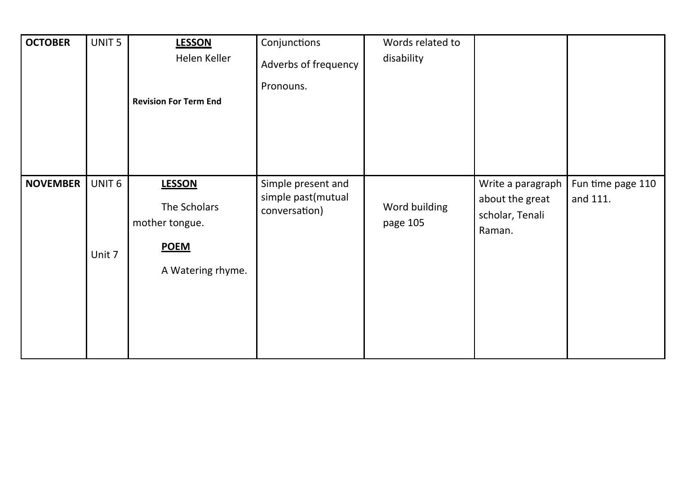| <b>OCTOBER</b>  | UNIT <sub>5</sub>           | <b>LESSON</b><br>Helen Keller<br><b>Revision For Term End</b>                       | Conjunctions<br>Adverbs of frequency<br>Pronouns.         | Words related to<br>disability |                                                                   |                               |
|-----------------|-----------------------------|-------------------------------------------------------------------------------------|-----------------------------------------------------------|--------------------------------|-------------------------------------------------------------------|-------------------------------|
| <b>NOVEMBER</b> | UNIT <sub>6</sub><br>Unit 7 | <b>LESSON</b><br>The Scholars<br>mother tongue.<br><b>POEM</b><br>A Watering rhyme. | Simple present and<br>simple past(mutual<br>conversation) | Word building<br>page 105      | Write a paragraph<br>about the great<br>scholar, Tenali<br>Raman. | Fun time page 110<br>and 111. |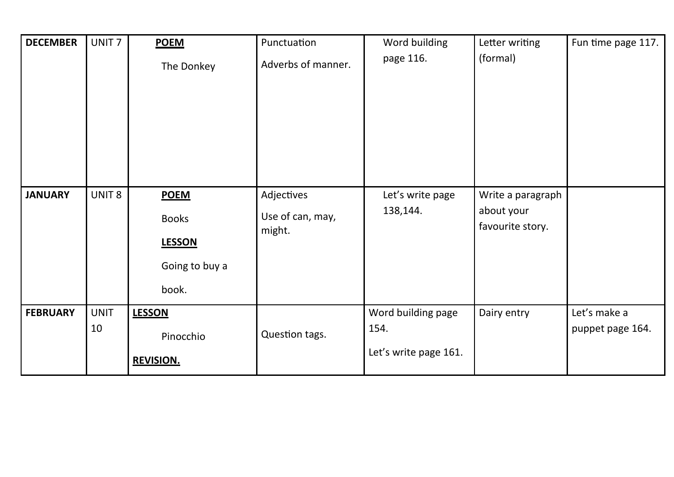| <b>DECEMBER</b> | UNIT <sub>7</sub> | <b>POEM</b><br>The Donkey                                               | Punctuation<br>Adverbs of manner.        | Word building<br>page 116.                          | Letter writing<br>(formal)                          | Fun time page 117.               |
|-----------------|-------------------|-------------------------------------------------------------------------|------------------------------------------|-----------------------------------------------------|-----------------------------------------------------|----------------------------------|
|                 |                   |                                                                         |                                          |                                                     |                                                     |                                  |
| <b>JANUARY</b>  | UNIT <sub>8</sub> | <b>POEM</b><br><b>Books</b><br><b>LESSON</b><br>Going to buy a<br>book. | Adjectives<br>Use of can, may,<br>might. | Let's write page<br>138,144.                        | Write a paragraph<br>about your<br>favourite story. |                                  |
| <b>FEBRUARY</b> | <b>UNIT</b><br>10 | <b>LESSON</b><br>Pinocchio<br><b>REVISION.</b>                          | Question tags.                           | Word building page<br>154.<br>Let's write page 161. | Dairy entry                                         | Let's make a<br>puppet page 164. |